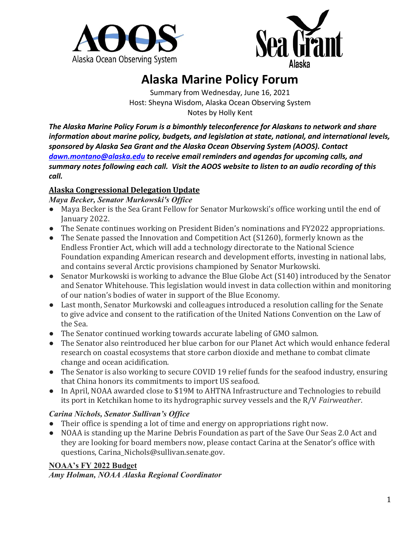



# **Alaska Marine Policy Forum**

Summary from Wednesday, June 16, 2021 Host: Sheyna Wisdom, Alaska Ocean Observing System Notes by Holly Kent

*The Alaska Marine Policy Forum is a bimonthly teleconference for Alaskans to network and share information about marine policy, budgets, and legislation at state, national, and international levels, sponsored by Alaska Sea Grant and the Alaska Ocean Observing System (AOOS). Contact [dawn.montano@alaska.edu](mailto:dawn.montano@alaska.edu) to receive email reminders and agendas for upcoming calls, and summary notes following each call. Visit the AOOS website to listen to an audio recording of this call.*

#### **Alaska Congressional Delegation Update**

*Maya Becker, Senator Murkowski's Office*

- Maya Becker is the Sea Grant Fellow for Senator Murkowski's office working until the end of January 2022.
- The Senate continues working on President Biden's nominations and FY2022 appropriations.
- The Senate passed the Innovation and Competition Act (S1260), formerly known as the Endless Frontier Act, which will add a technology directorate to the National Science Foundation expanding American research and development efforts, investing in national labs, and contains several Arctic provisions championed by Senator Murkowski.
- Senator Murkowski is working to advance the Blue Globe Act (S140) introduced by the Senator and Senator Whitehouse. This legislation would invest in data collection within and monitoring of our nation's bodies of water in support of the Blue Economy.
- Last month, Senator Murkowski and colleagues introduced a resolution calling for the Senate to give advice and consent to the ratification of the United Nations Convention on the Law of the Sea.
- The Senator continued working towards accurate labeling of GMO salmon.
- The Senator also reintroduced her blue carbon for our Planet Act which would enhance federal research on coastal ecosystems that store carbon dioxide and methane to combat climate change and ocean acidification.
- The Senator is also working to secure COVID 19 relief funds for the seafood industry, ensuring that China honors its commitments to import US seafood.
- In April, NOAA awarded close to \$19M to AHTNA Infrastructure and Technologies to rebuild its port in Ketchikan home to its hydrographic survey vessels and the R/V *Fairweather*.

#### *Carina Nichols, Senator Sullivan's Office*

- Their office is spending a lot of time and energy on appropriations right now.
- NOAA is standing up the Marine Debris Foundation as part of the Save Our Seas 2.0 Act and they are looking for board members now, please contact Carina at the Senator's office with questions, Carina\_Nichols@sullivan.senate.gov.

#### **NOAA's FY 2022 Budget**

*Amy Holman, NOAA Alaska Regional Coordinator*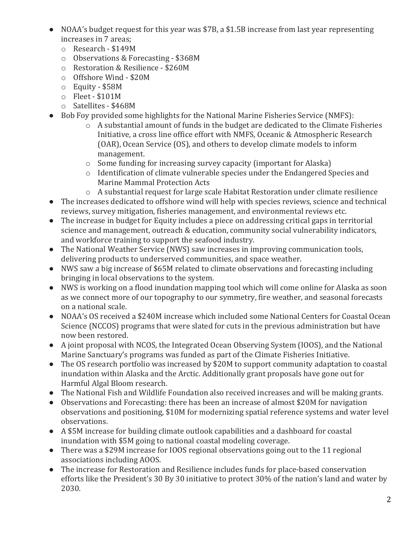- NOAA's budget request for this year was \$7B, a \$1.5B increase from last year representing increases in 7 areas;
	- o Research \$149M
	- o Observations & Forecasting \$368M
	- o Restoration & Resilience \$260M
	- o Offshore Wind \$20M
	- o Equity \$58M
	- o Fleet \$101M
	- o Satellites \$468M
- Bob Foy provided some highlights for the National Marine Fisheries Service (NMFS):
	- $\circ$  A substantial amount of funds in the budget are dedicated to the Climate Fisheries Initiative, a cross line office effort with NMFS, Oceanic & Atmospheric Research (OAR), Ocean Service (OS), and others to develop climate models to inform management.
	- o Some funding for increasing survey capacity (important for Alaska)
	- o Identification of climate vulnerable species under the Endangered Species and Marine Mammal Protection Acts
	- o A substantial request for large scale Habitat Restoration under climate resilience
- The increases dedicated to offshore wind will help with species reviews, science and technical reviews, survey mitigation, fisheries management, and environmental reviews etc.
- The increase in budget for Equity includes a piece on addressing critical gaps in territorial science and management, outreach & education, community social vulnerability indicators, and workforce training to support the seafood industry.
- The National Weather Service (NWS) saw increases in improving communication tools, delivering products to underserved communities, and space weather.
- NWS saw a big increase of \$65M related to climate observations and forecasting including bringing in local observations to the system.
- NWS is working on a flood inundation mapping tool which will come online for Alaska as soon as we connect more of our topography to our symmetry, fire weather, and seasonal forecasts on a national scale.
- NOAA's OS received a \$240M increase which included some National Centers for Coastal Ocean Science (NCCOS) programs that were slated for cuts in the previous administration but have now been restored.
- A joint proposal with NCOS, the Integrated Ocean Observing System (IOOS), and the National Marine Sanctuary's programs was funded as part of the Climate Fisheries Initiative.
- The OS research portfolio was increased by \$20M to support community adaptation to coastal inundation within Alaska and the Arctic. Additionally grant proposals have gone out for Harmful Algal Bloom research.
- The National Fish and Wildlife Foundation also received increases and will be making grants.
- Observations and Forecasting: there has been an increase of almost \$20M for navigation observations and positioning, \$10M for modernizing spatial reference systems and water level observations.
- A \$5M increase for building climate outlook capabilities and a dashboard for coastal inundation with \$5M going to national coastal modeling coverage.
- There was a \$29M increase for IOOS regional observations going out to the 11 regional associations including AOOS.
- The increase for Restoration and Resilience includes funds for place-based conservation efforts like the President's 30 By 30 initiative to protect 30% of the nation's land and water by 2030.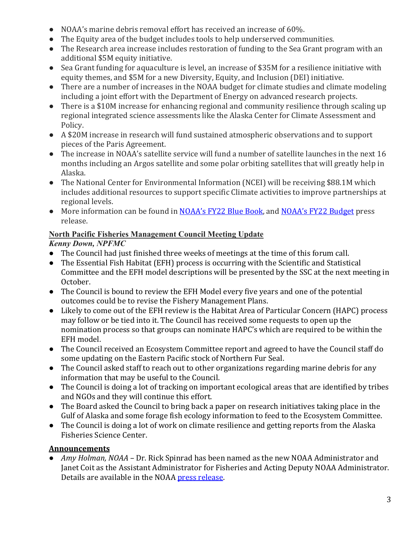- NOAA's marine debris removal effort has received an increase of 60%.
- The Equity area of the budget includes tools to help underserved communities.
- The Research area increase includes restoration of funding to the Sea Grant program with an additional \$5M equity initiative.
- Sea Grant funding for aquaculture is level, an increase of \$35M for a resilience initiative with equity themes, and \$5M for a new Diversity, Equity, and Inclusion (DEI) initiative.
- There are a number of increases in the NOAA budget for climate studies and climate modeling including a joint effort with the Department of Energy on advanced research projects.
- There is a \$10M increase for enhancing regional and community resilience through scaling up regional integrated science assessments like the Alaska Center for Climate Assessment and Policy.
- A \$20M increase in research will fund sustained atmospheric observations and to support pieces of the Paris Agreement.
- The increase in NOAA's satellite service will fund a number of satellite launches in the next 16 months including an Argos satellite and some polar orbiting satellites that will greatly help in Alaska.
- The National Center for Environmental Information (NCEI) will be receiving \$88.1M which includes additional resources to support specific Climate activities to improve partnerships at regional levels.
- More information can be found in [NOAA's FY22 Blue Book,](https://www.noaa.gov/organization/budget-finance-performance/budget-and-reports) and [NOAA's FY22 Budget](https://www.noaa.gov/budget-finance-performance/news-release/noaa-fy-2022-budget-advances-america-s-response-to-climate-crisis) press release.

## **North Pacific Fisheries Management Council Meeting Update**

# *Kenny Down, NPFMC*

- The Council had just finished three weeks of meetings at the time of this forum call.
- The Essential Fish Habitat (EFH) process is occurring with the Scientific and Statistical Committee and the EFH model descriptions will be presented by the SSC at the next meeting in October.
- The Council is bound to review the EFH Model every five years and one of the potential outcomes could be to revise the Fishery Management Plans.
- Likely to come out of the EFH review is the Habitat Area of Particular Concern (HAPC) process may follow or be tied into it. The Council has received some requests to open up the nomination process so that groups can nominate HAPC's which are required to be within the EFH model.
- The Council received an Ecosystem Committee report and agreed to have the Council staff do some updating on the Eastern Pacific stock of Northern Fur Seal.
- The Council asked staff to reach out to other organizations regarding marine debris for any information that may be useful to the Council.
- The Council is doing a lot of tracking on important ecological areas that are identified by tribes and NGOs and they will continue this effort.
- The Board asked the Council to bring back a paper on research initiatives taking place in the Gulf of Alaska and some forage fish ecology information to feed to the Ecosystem Committee.
- The Council is doing a lot of work on climate resilience and getting reports from the Alaska Fisheries Science Center.

## **Announcements**

● *Amy Holman, NOAA* – Dr. Rick Spinrad has been named as the new NOAA Administrator and Janet Coit as the Assistant Administrator for Fisheries and Acting Deputy NOAA Administrator. Details are available in the NOAA [press release.](https://www.noaa.gov/news-release/richard-w-spinrad-confirmed-to-lead-noaa)